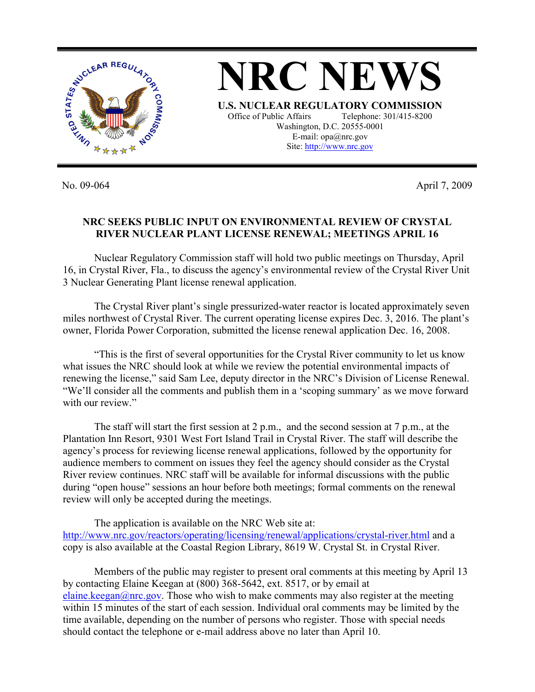

No. 09-064 April 7, 2009

## **NRC SEEKS PUBLIC INPUT ON ENVIRONMENTAL REVIEW OF CRYSTAL RIVER NUCLEAR PLANT LICENSE RENEWAL; MEETINGS APRIL 16**

E-mail: opa@nrc.gov

Nuclear Regulatory Commission staff will hold two public meetings on Thursday, April 16, in Crystal River, Fla., to discuss the agency's environmental review of the Crystal River Unit 3 Nuclear Generating Plant license renewal application.

The Crystal River plant's single pressurized-water reactor is located approximately seven miles northwest of Crystal River. The current operating license expires Dec. 3, 2016. The plant's owner, Florida Power Corporation, submitted the license renewal application Dec. 16, 2008.

"This is the first of several opportunities for the Crystal River community to let us know what issues the NRC should look at while we review the potential environmental impacts of renewing the license," said Sam Lee, deputy director in the NRC's Division of License Renewal. "We'll consider all the comments and publish them in a 'scoping summary' as we move forward with our review."

The staff will start the first session at 2 p.m., and the second session at 7 p.m., at the Plantation Inn Resort, 9301 West Fort Island Trail in Crystal River. The staff will describe the agency's process for reviewing license renewal applications, followed by the opportunity for audience members to comment on issues they feel the agency should consider as the Crystal River review continues. NRC staff will be available for informal discussions with the public during "open house" sessions an hour before both meetings; formal comments on the renewal review will only be accepted during the meetings.

The application is available on the NRC Web site at: http://www.nrc.gov/reactors/operating/licensing/renewal/applications/crystal-river.html and a copy is also available at the Coastal Region Library, 8619 W. Crystal St. in Crystal River.

Members of the public may register to present oral comments at this meeting by April 13 by contacting Elaine Keegan at (800) 368-5642, ext. 8517, or by email at elaine.keegan@nrc.gov. Those who wish to make comments may also register at the meeting within 15 minutes of the start of each session. Individual oral comments may be limited by the time available, depending on the number of persons who register. Those with special needs should contact the telephone or e-mail address above no later than April 10.